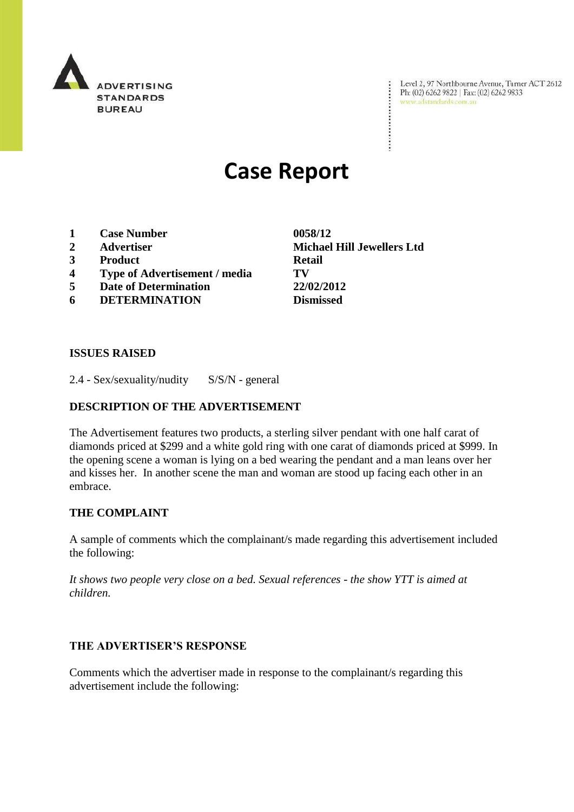

Level 2, 97 Northbourne Avenue, Turner ACT 2612<br>Ph: (02) 6262 9822 | Fax: (02) 6262 9833<br>www.adstandards.com.au

# **Case Report**

- **1 Case Number 0058/12**
- 
- **3 Product Retail**
- **4 Type of Advertisement / media TV**
- **5 Date of Determination 22/02/2012**
- **6 DETERMINATION Dismissed**

**2 Advertiser Michael Hill Jewellers Ltd**

÷

### **ISSUES RAISED**

2.4 - Sex/sexuality/nudity S/S/N - general

## **DESCRIPTION OF THE ADVERTISEMENT**

The Advertisement features two products, a sterling silver pendant with one half carat of diamonds priced at \$299 and a white gold ring with one carat of diamonds priced at \$999. In the opening scene a woman is lying on a bed wearing the pendant and a man leans over her and kisses her. In another scene the man and woman are stood up facing each other in an embrace.

### **THE COMPLAINT**

A sample of comments which the complainant/s made regarding this advertisement included the following:

*It shows two people very close on a bed. Sexual references - the show YTT is aimed at children.* 

### **THE ADVERTISER'S RESPONSE**

Comments which the advertiser made in response to the complainant/s regarding this advertisement include the following: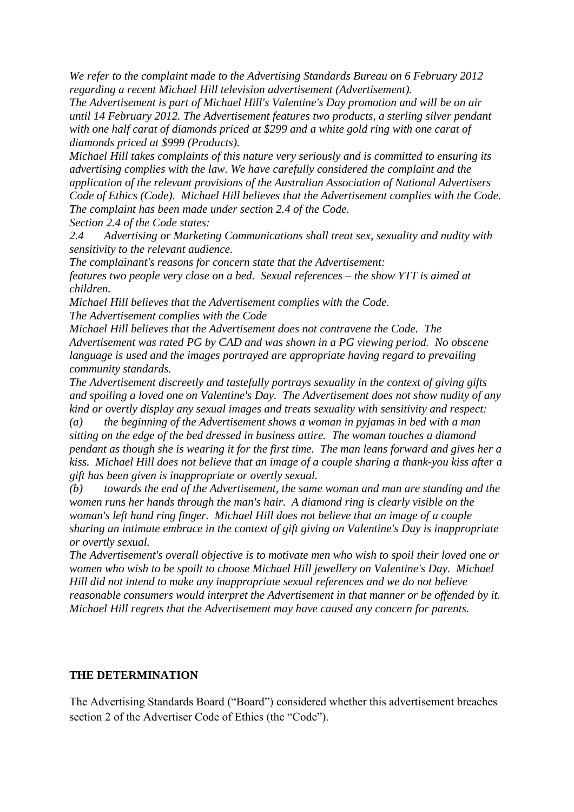*We refer to the complaint made to the Advertising Standards Bureau on 6 February 2012 regarding a recent Michael Hill television advertisement (Advertisement).* 

*The Advertisement is part of Michael Hill's Valentine's Day promotion and will be on air until 14 February 2012. The Advertisement features two products, a sterling silver pendant with one half carat of diamonds priced at \$299 and a white gold ring with one carat of diamonds priced at \$999 (Products).* 

*Michael Hill takes complaints of this nature very seriously and is committed to ensuring its advertising complies with the law. We have carefully considered the complaint and the application of the relevant provisions of the Australian Association of National Advertisers Code of Ethics (Code). Michael Hill believes that the Advertisement complies with the Code. The complaint has been made under section 2.4 of the Code. Section 2.4 of the Code states:*

*2.4 Advertising or Marketing Communications shall treat sex, sexuality and nudity with sensitivity to the relevant audience.*

*The complainant's reasons for concern state that the Advertisement:*

*features two people very close on a bed. Sexual references – the show YTT is aimed at children.*

*Michael Hill believes that the Advertisement complies with the Code. The Advertisement complies with the Code* 

*Michael Hill believes that the Advertisement does not contravene the Code. The Advertisement was rated PG by CAD and was shown in a PG viewing period. No obscene language is used and the images portrayed are appropriate having regard to prevailing community standards.* 

*The Advertisement discreetly and tastefully portrays sexuality in the context of giving gifts and spoiling a loved one on Valentine's Day. The Advertisement does not show nudity of any kind or overtly display any sexual images and treats sexuality with sensitivity and respect:*

*(a) the beginning of the Advertisement shows a woman in pyjamas in bed with a man sitting on the edge of the bed dressed in business attire. The woman touches a diamond pendant as though she is wearing it for the first time. The man leans forward and gives her a kiss. Michael Hill does not believe that an image of a couple sharing a thank-you kiss after a gift has been given is inappropriate or overtly sexual.*

*(b) towards the end of the Advertisement, the same woman and man are standing and the women runs her hands through the man's hair. A diamond ring is clearly visible on the woman's left hand ring finger. Michael Hill does not believe that an image of a couple sharing an intimate embrace in the context of gift giving on Valentine's Day is inappropriate or overtly sexual.*

*The Advertisement's overall objective is to motivate men who wish to spoil their loved one or women who wish to be spoilt to choose Michael Hill jewellery on Valentine's Day. Michael Hill did not intend to make any inappropriate sexual references and we do not believe reasonable consumers would interpret the Advertisement in that manner or be offended by it. Michael Hill regrets that the Advertisement may have caused any concern for parents.* 

### **THE DETERMINATION**

The Advertising Standards Board ("Board") considered whether this advertisement breaches section 2 of the Advertiser Code of Ethics (the "Code").